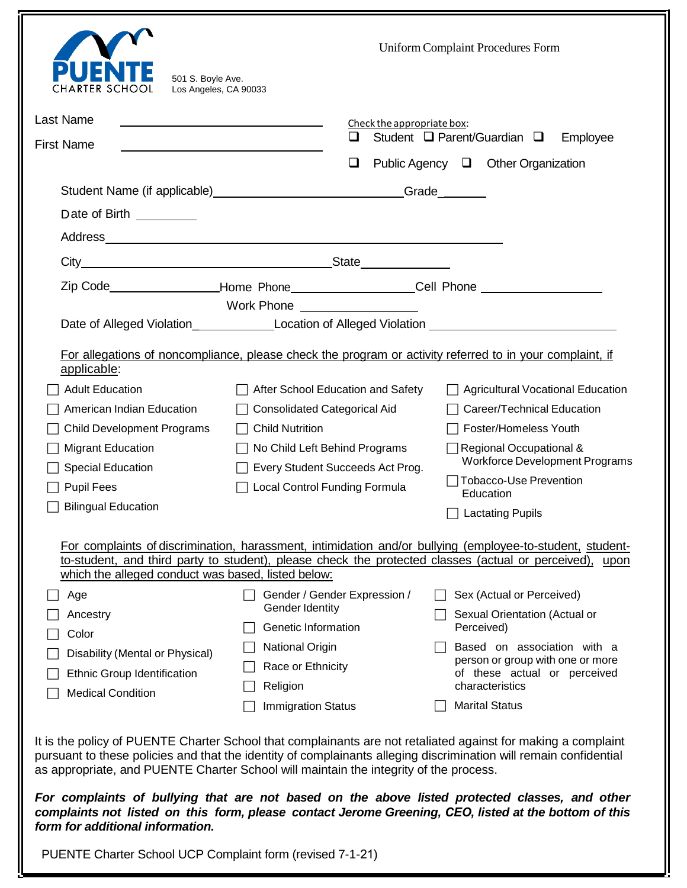| 501 S. Boyle Ave.<br>RTER SCHC<br>Los Angeles, CA 90033                                                                                                                                                                | <b>Uniform Complaint Procedures Form</b>                                                                                                                                                                                                                                                                                                                                                                                                                                                                                                                                                                          |
|------------------------------------------------------------------------------------------------------------------------------------------------------------------------------------------------------------------------|-------------------------------------------------------------------------------------------------------------------------------------------------------------------------------------------------------------------------------------------------------------------------------------------------------------------------------------------------------------------------------------------------------------------------------------------------------------------------------------------------------------------------------------------------------------------------------------------------------------------|
| Last Name<br><u> 1989 - Johann Stoff, deutscher Stoffen und der Stoffen und der Stoffen und der Stoffen und der Stoffen und der</u><br><b>First Name</b><br><u> 1989 - Johann Barbara, martxa alemaniar amerikan a</u> | Check the appropriate box:<br>$\Box$<br>Student $\Box$ Parent/Guardian $\Box$<br>Employee<br>$\Box$<br>Public Agency □ Other Organization                                                                                                                                                                                                                                                                                                                                                                                                                                                                         |
| Date of Birth _________                                                                                                                                                                                                | Student Name (if applicable) _______________________________Grade________                                                                                                                                                                                                                                                                                                                                                                                                                                                                                                                                         |
|                                                                                                                                                                                                                        | Zip Code___________________Home Phone____________________Cell Phone _____________<br>Work Phone <b>Work Show</b><br>Date of Alleged Violation___________________Location of Alleged Violation ___________________________________                                                                                                                                                                                                                                                                                                                                                                                 |
| applicable:<br><b>Adult Education</b><br>American Indian Education<br><b>Child Development Programs</b><br><b>Migrant Education</b><br>Special Education<br><b>Pupil Fees</b><br><b>Bilingual Education</b>            | For allegations of noncompliance, please check the program or activity referred to in your complaint, if<br>After School Education and Safety<br><b>Agricultural Vocational Education</b><br><b>Consolidated Categorical Aid</b><br>Career/Technical Education<br><b>Child Nutrition</b><br>Foster/Homeless Youth<br>$\Box$ Regional Occupational &<br>No Child Left Behind Programs<br><b>Workforce Development Programs</b><br>Every Student Succeeds Act Prog.<br><b>Tobacco-Use Prevention</b><br><b>Local Control Funding Formula</b><br>Education<br><b>Lactating Pupils</b>                                |
| which the alleged conduct was based, listed below:<br>Age<br>Ancestry<br>Color<br>Disability (Mental or Physical)<br>Ethnic Group Identification<br><b>Medical Condition</b>                                           | For complaints of discrimination, harassment, intimidation and/or bullying (employee-to-student, student-<br>to-student, and third party to student), please check the protected classes (actual or perceived), upon<br>Gender / Gender Expression /<br>Sex (Actual or Perceived)<br>Gender Identity<br>Sexual Orientation (Actual or<br>Genetic Information<br>Perceived)<br><b>National Origin</b><br>Based on association with a<br>person or group with one or more<br>Race or Ethnicity<br>of these actual or perceived<br>characteristics<br>Religion<br><b>Marital Status</b><br><b>Immigration Status</b> |
| form for additional information.                                                                                                                                                                                       | It is the policy of PUENTE Charter School that complainants are not retaliated against for making a complaint<br>pursuant to these policies and that the identity of complainants alleging discrimination will remain confidential<br>as appropriate, and PUENTE Charter School will maintain the integrity of the process.<br>For complaints of bullying that are not based on the above listed protected classes, and other<br>complaints not listed on this form, please contact Jerome Greening, CEO, listed at the bottom of this                                                                            |
| PUENTE Charter School UCP Complaint form (revised 7-1-21)                                                                                                                                                              |                                                                                                                                                                                                                                                                                                                                                                                                                                                                                                                                                                                                                   |